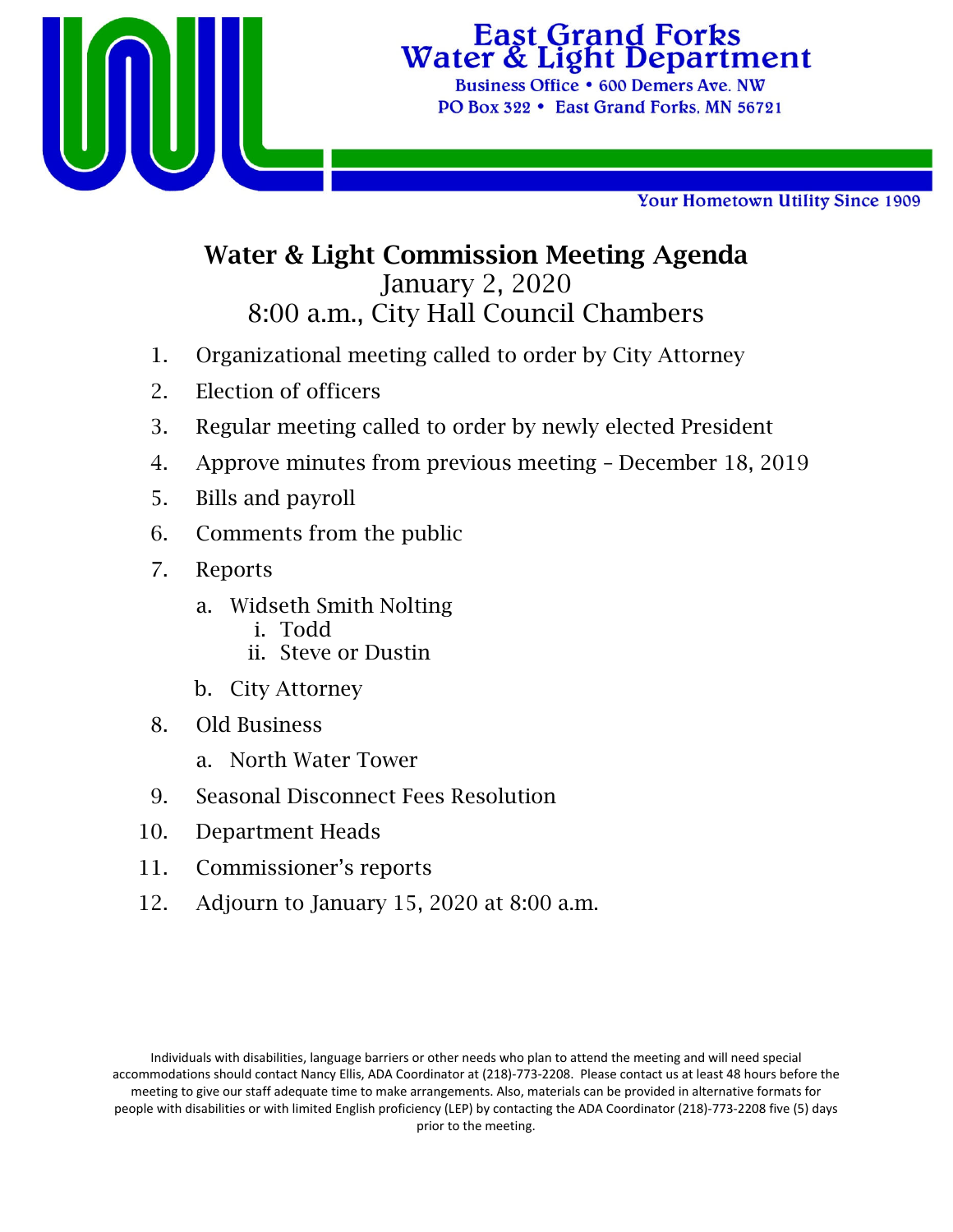

# **East Grand Forks**<br>Water & Light Department

Business Office • 600 Demers Ave. NW PO Box 322 • East Grand Forks, MN 56721

Your Hometown Utility Since 1909

## Water & Light Commission Meeting Agenda January 2, 2020 8:00 a.m., City Hall Council Chambers

- 1. Organizational meeting called to order by City Attorney
- 2. Election of officers
- 3. Regular meeting called to order by newly elected President
- 4. Approve minutes from previous meeting December 18, 2019
- 5. Bills and payroll
- 6. Comments from the public
- 7. Reports
	- a. Widseth Smith Nolting
		- i. Todd
		- ii. Steve or Dustin
	- b. City Attorney
- 8. Old Business
	- a. North Water Tower
- 9. Seasonal Disconnect Fees Resolution
- 10. Department Heads
- 11. Commissioner's reports
- 12. Adjourn to January 15, 2020 at 8:00 a.m.

Individuals with disabilities, language barriers or other needs who plan to attend the meeting and will need special accommodations should contact Nancy Ellis, ADA Coordinator at (218)‐773‐2208. Please contact us at least 48 hours before the meeting to give our staff adequate time to make arrangements. Also, materials can be provided in alternative formats for people with disabilities or with limited English proficiency (LEP) by contacting the ADA Coordinator (218)‐773‐2208 five (5) days prior to the meeting.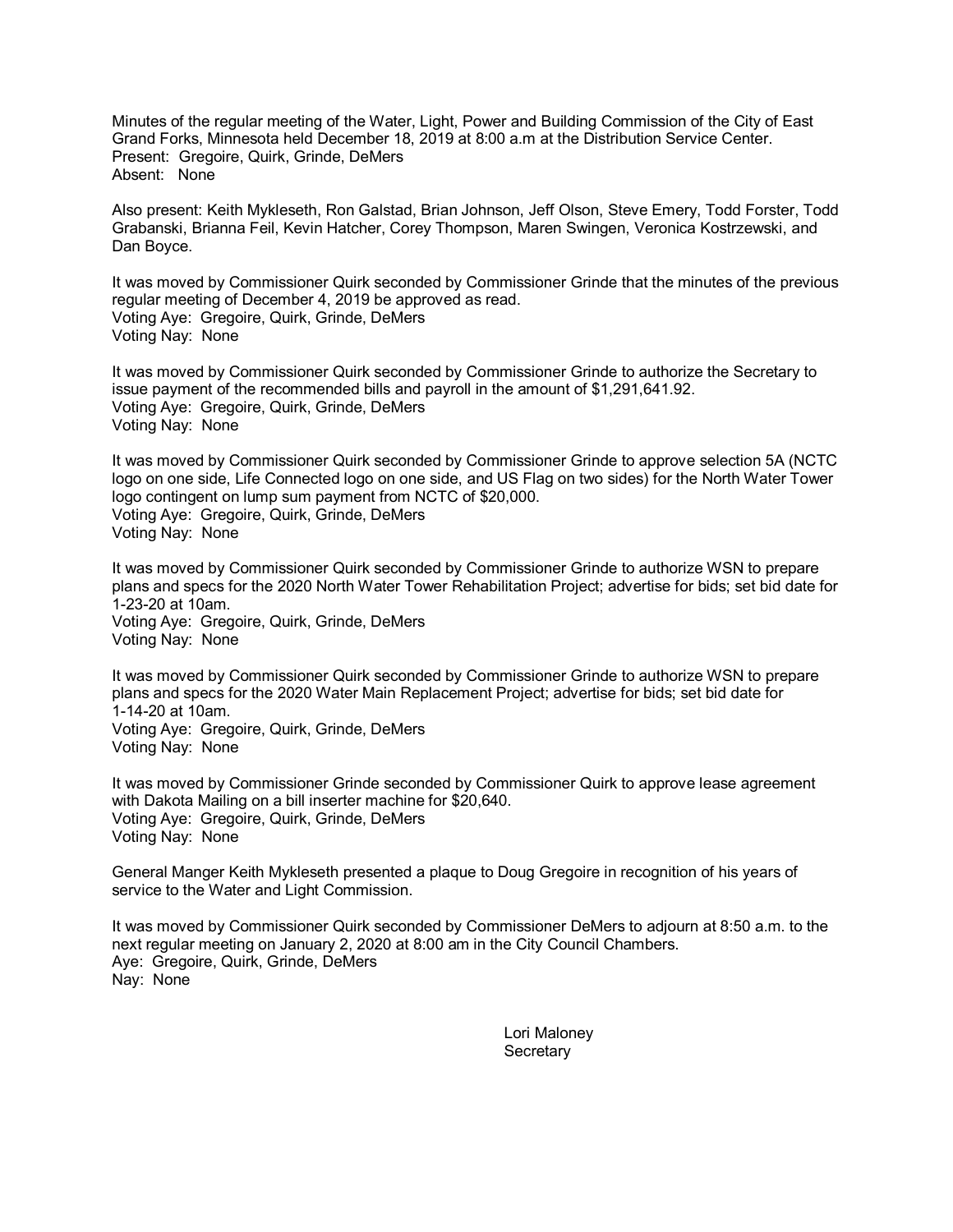Minutes of the regular meeting of the Water, Light, Power and Building Commission of the City of East Grand Forks, Minnesota held December 18, 2019 at 8:00 a.m at the Distribution Service Center. Present: Gregoire, Quirk, Grinde, DeMers Absent: None

Also present: Keith Mykleseth, Ron Galstad, Brian Johnson, Jeff Olson, Steve Emery, Todd Forster, Todd Grabanski, Brianna Feil, Kevin Hatcher, Corey Thompson, Maren Swingen, Veronica Kostrzewski, and Dan Boyce.

It was moved by Commissioner Quirk seconded by Commissioner Grinde that the minutes of the previous regular meeting of December 4, 2019 be approved as read. Voting Aye: Gregoire, Quirk, Grinde, DeMers Voting Nay: None

It was moved by Commissioner Quirk seconded by Commissioner Grinde to authorize the Secretary to issue payment of the recommended bills and payroll in the amount of \$1,291,641.92. Voting Aye: Gregoire, Quirk, Grinde, DeMers Voting Nay: None

It was moved by Commissioner Quirk seconded by Commissioner Grinde to approve selection 5A (NCTC logo on one side, Life Connected logo on one side, and US Flag on two sides) for the North Water Tower logo contingent on lump sum payment from NCTC of \$20,000. Voting Aye: Gregoire, Quirk, Grinde, DeMers Voting Nay: None

It was moved by Commissioner Quirk seconded by Commissioner Grinde to authorize WSN to prepare plans and specs for the 2020 North Water Tower Rehabilitation Project; advertise for bids; set bid date for 1-23-20 at 10am. Voting Aye: Gregoire, Quirk, Grinde, DeMers Voting Nay: None

It was moved by Commissioner Quirk seconded by Commissioner Grinde to authorize WSN to prepare plans and specs for the 2020 Water Main Replacement Project; advertise for bids; set bid date for 1-14-20 at 10am. Voting Aye: Gregoire, Quirk, Grinde, DeMers Voting Nay: None

It was moved by Commissioner Grinde seconded by Commissioner Quirk to approve lease agreement with Dakota Mailing on a bill inserter machine for \$20,640. Voting Aye: Gregoire, Quirk, Grinde, DeMers Voting Nay: None

General Manger Keith Mykleseth presented a plaque to Doug Gregoire in recognition of his years of service to the Water and Light Commission.

It was moved by Commissioner Quirk seconded by Commissioner DeMers to adjourn at 8:50 a.m. to the next regular meeting on January 2, 2020 at 8:00 am in the City Council Chambers. Aye: Gregoire, Quirk, Grinde, DeMers Nay: None

> Lori Maloney **Secretary**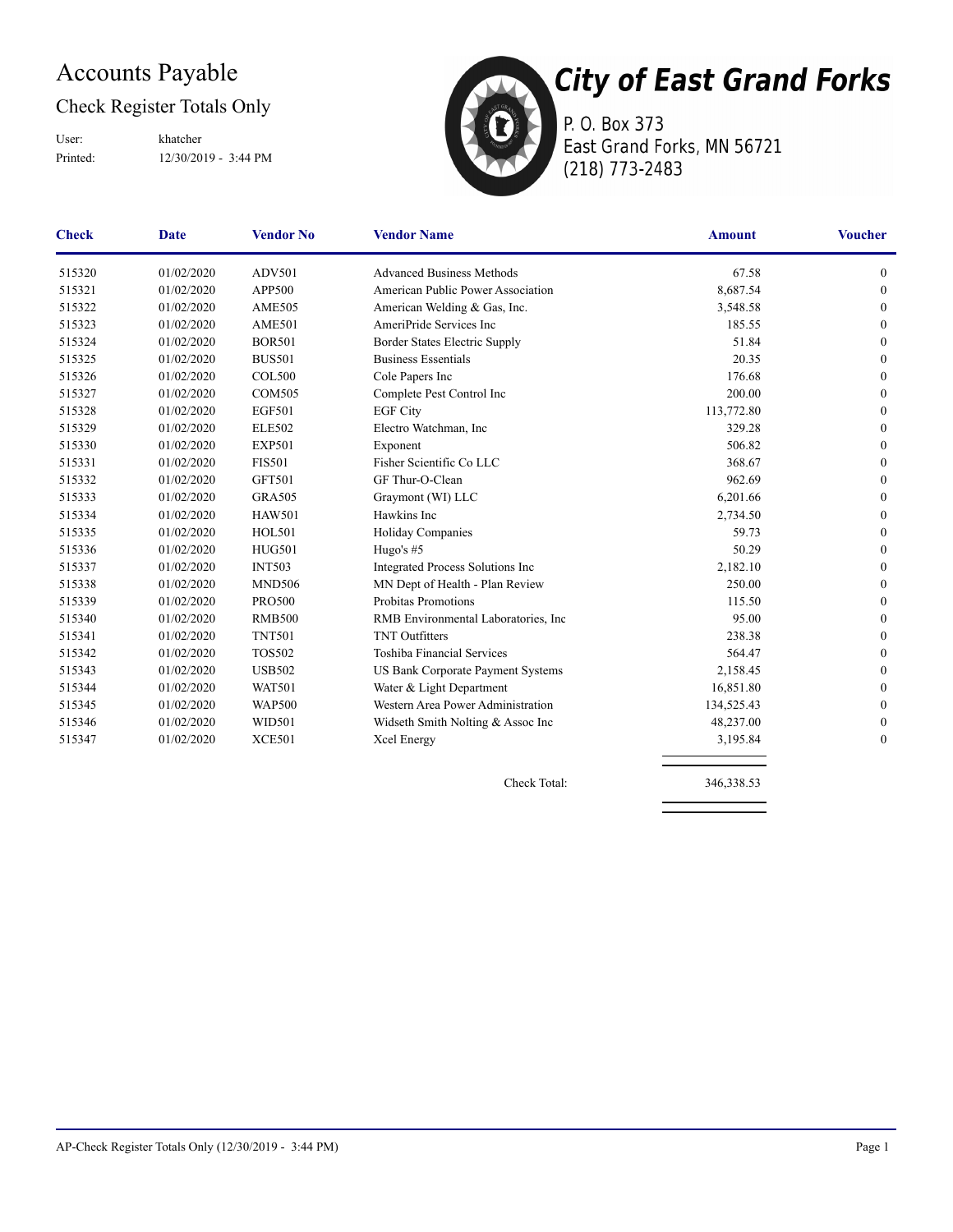## Accounts Payable

## Check Register Totals Only

Printed: 12/30/2019 - 3:44 PM User: khatcher



P. O. Box 373 East Grand Forks, MN 56721 (218) 773-2483

| <b>Check</b> | <b>Date</b> | <b>Vendor No</b> | <b>Vendor Name</b>                       | <b>Amount</b> | <b>Voucher</b>   |
|--------------|-------------|------------------|------------------------------------------|---------------|------------------|
| 515320       | 01/02/2020  | <b>ADV501</b>    | <b>Advanced Business Methods</b>         | 67.58         | $\mathbf{0}$     |
| 515321       | 01/02/2020  | APP500           | American Public Power Association        | 8,687.54      | $\mathbf{0}$     |
| 515322       | 01/02/2020  | <b>AME505</b>    | American Welding & Gas, Inc.             | 3,548.58      | $\theta$         |
| 515323       | 01/02/2020  | <b>AME501</b>    | AmeriPride Services Inc                  | 185.55        | $\mathbf{0}$     |
| 515324       | 01/02/2020  | <b>BOR501</b>    | Border States Electric Supply            | 51.84         | $\mathbf{0}$     |
| 515325       | 01/02/2020  | <b>BUS501</b>    | <b>Business Essentials</b>               | 20.35         | $\theta$         |
| 515326       | 01/02/2020  | <b>COL500</b>    | Cole Papers Inc                          | 176.68        | $\boldsymbol{0}$ |
| 515327       | 01/02/2020  | <b>COM505</b>    | Complete Pest Control Inc                | 200.00        | $\theta$         |
| 515328       | 01/02/2020  | <b>EGF501</b>    | <b>EGF City</b>                          | 113,772.80    | $\theta$         |
| 515329       | 01/02/2020  | <b>ELE502</b>    | Electro Watchman, Inc.                   | 329.28        | $\mathbf{0}$     |
| 515330       | 01/02/2020  | <b>EXP501</b>    | Exponent                                 | 506.82        | $\mathbf{0}$     |
| 515331       | 01/02/2020  | <b>FIS501</b>    | Fisher Scientific Co LLC                 | 368.67        | $\boldsymbol{0}$ |
| 515332       | 01/02/2020  | <b>GFT501</b>    | GF Thur-O-Clean                          | 962.69        | $\boldsymbol{0}$ |
| 515333       | 01/02/2020  | <b>GRA505</b>    | Graymont (WI) LLC                        | 6,201.66      | $\Omega$         |
| 515334       | 01/02/2020  | <b>HAW501</b>    | Hawkins Inc                              | 2,734.50      | $\boldsymbol{0}$ |
| 515335       | 01/02/2020  | <b>HOL501</b>    | Holiday Companies                        | 59.73         | $\mathbf{0}$     |
| 515336       | 01/02/2020  | <b>HUG501</b>    | Hugo's #5                                | 50.29         | $\theta$         |
| 515337       | 01/02/2020  | <b>INT503</b>    | Integrated Process Solutions Inc         | 2,182.10      | $\boldsymbol{0}$ |
| 515338       | 01/02/2020  | <b>MND506</b>    | MN Dept of Health - Plan Review          | 250.00        | $\boldsymbol{0}$ |
| 515339       | 01/02/2020  | <b>PRO500</b>    | Probitas Promotions                      | 115.50        | $\mathbf{0}$     |
| 515340       | 01/02/2020  | <b>RMB500</b>    | RMB Environmental Laboratories, Inc.     | 95.00         | $\mathbf{0}$     |
| 515341       | 01/02/2020  | <b>TNT501</b>    | <b>TNT</b> Outfitters                    | 238.38        | $\boldsymbol{0}$ |
| 515342       | 01/02/2020  | <b>TOS502</b>    | Toshiba Financial Services               | 564.47        | $\mathbf{0}$     |
| 515343       | 01/02/2020  | <b>USB502</b>    | <b>US Bank Corporate Payment Systems</b> | 2,158.45      | $\theta$         |
| 515344       | 01/02/2020  | <b>WAT501</b>    | Water & Light Department                 | 16,851.80     | $\theta$         |
| 515345       | 01/02/2020  | <b>WAP500</b>    | Western Area Power Administration        | 134,525.43    | $\mathbf{0}$     |
| 515346       | 01/02/2020  | <b>WID501</b>    | Widseth Smith Nolting & Assoc Inc        | 48,237.00     | $\mathbf{0}$     |
| 515347       | 01/02/2020  | <b>XCE501</b>    | Xcel Energy                              | 3,195.84      | $\boldsymbol{0}$ |

Check Total: 346,338.53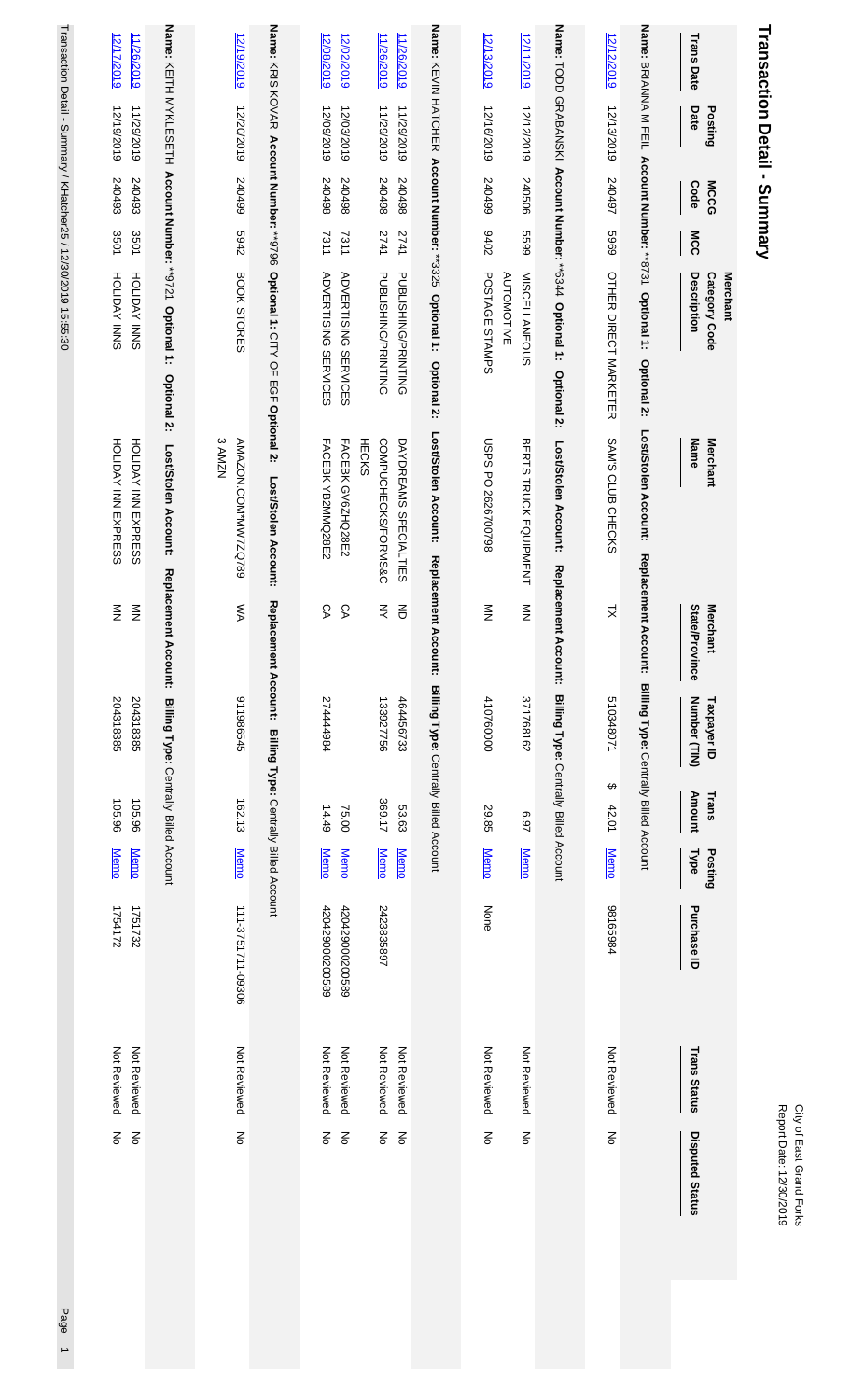| Name: KEITH MYKLESETH Account Number: **9721 Optional 1: Optional 2:<br>Name: KNIS KOVAR Account Number: ***9796<br>Name: KEVIN HATCHER Account Number: **3325 Optional 1:<br>Name: TODD GRABANSKI Account Number: **6344 Optional 1: Optional 2:<br>Name: BRIANNA M FEIL Account Number: **8731 Optional 1:<br>12/12/2019<br>12/19/2019<br>12/08/2019<br>12/02/2019<br>11/26/2019<br>11/26/2019<br>12/13/2019<br>12/11/2019<br><b>Trans Date</b><br>12/20/2019<br>12/13/2019<br>12/09/2019<br>12/03/2019<br>11/29/2019<br>11/29/2019<br>12/16/2019<br>12/12/2019<br>Date<br>Posting<br>240497<br>540499<br>240498<br>240498<br>867042<br>867042<br>66+0+2<br>240506<br>Code<br><b>MCCG</b><br>6969<br>5942<br>7311<br>2741<br>2076<br>6699<br>MCC<br>7311<br>2741<br>Optional 1: CITY OF EGF Optional 2:<br>BOOK STORES<br>PUBLISHING/PRINTING<br><b>MISCELLANEOUS</b><br>OTHER DIRECT NARKETER<br>PUBLISHING/PRINTING<br>POSTAGE STAMPS<br><b>ADVERTISING SERVICES</b><br><b>ADVERTISING SERVICES</b><br><b>AUTOMOTIVE</b><br>Description<br>Category Code<br>Optional 2:<br><b>Optional 2:</b><br>Lost/Stolen Account:<br>Lost/Stolen Account:<br><b>SAMZN</b><br>FACEBK YB2MMQ28E2<br>FACEBK GV6ZHQ28E2<br><b>HECKS</b><br>COMPUCHECKS/FORMS&C<br><b>USPS PO 2626700798</b><br>SAM'S CLUB CHECKS<br>Name<br>Merchant<br>AMAZON.COM*MW7ZQ789<br>DAYDREAMS SPECIALTIES<br>BERTS TRUCK EQUIPMENT<br>Lost/Stolen Account:<br>Lost/Stolen Account:<br>Lost/Stolen Account:<br>Replacement Account: Billing Type: Centrally Billed Account<br>Replacement Account:<br><b>Replacement</b><br>Replacement<br>Replacement Account:<br>ŠХ<br>СA<br>δĄ<br>$\gtrless$<br>$\sum_{i=1}^{n}$<br>$\sum_{i=1}^{n}$<br>State/Province<br><b>Merchant</b><br>증<br>$\geq$<br>Account:<br><b>Account:</b><br>Billing Type: Centrally Billed Account<br>Billing Type: Centrally Billed Account<br>Billing Type: Centrally Billed Account<br>911986545<br>274444984<br>410760000<br>371768162<br>510348071<br>Number (TIN)<br>133927756<br>464456733<br>Taxpayer ID<br>Billing Type: Centrally Billed Account<br>↔<br>Amount<br>Trans<br>369.17<br>162.13<br>53.63<br>14.49<br>42.01<br>75.00<br>29.85<br><b>269</b><br><b>Memo</b><br><b>Memo</b><br><b>Memo</b><br><b>Memo</b><br><b>Memo</b><br><b>Type</b><br>Posting<br><b>Memo</b><br><b>Memo</b><br><b>Memo</b><br>111-3751711-09306<br>98165984<br>420429000200589<br>2423835897<br>None<br>Purchase ID<br>420429000200589<br>Not Reviewed<br>Not Reviewed<br>Not Reviewed<br>Not Reviewed<br>Not Reviewed<br>Not Reviewed<br>Not Reviewed<br>Not Reviewed<br><b>Trans Status</b><br>ξ<br>$\mathop{\rm g}\nolimits$<br>$\frac{2}{\sigma}$<br>$\frac{2}{\sigma}$<br>$\mathop{\mathsf{S}}\nolimits$<br>$\mathop{\mathsf{S}}\nolimits$<br>$\mathop{\mathsf{S}}\nolimits$<br><b>Disputed Status</b><br>$\mathop{\mathsf{S}}$ | <b>Transaction Detail - Summary</b><br>Merchant |
|---------------------------------------------------------------------------------------------------------------------------------------------------------------------------------------------------------------------------------------------------------------------------------------------------------------------------------------------------------------------------------------------------------------------------------------------------------------------------------------------------------------------------------------------------------------------------------------------------------------------------------------------------------------------------------------------------------------------------------------------------------------------------------------------------------------------------------------------------------------------------------------------------------------------------------------------------------------------------------------------------------------------------------------------------------------------------------------------------------------------------------------------------------------------------------------------------------------------------------------------------------------------------------------------------------------------------------------------------------------------------------------------------------------------------------------------------------------------------------------------------------------------------------------------------------------------------------------------------------------------------------------------------------------------------------------------------------------------------------------------------------------------------------------------------------------------------------------------------------------------------------------------------------------------------------------------------------------------------------------------------------------------------------------------------------------------------------------------------------------------------------------------------------------------------------------------------------------------------------------------------------------------------------------------------------------------------------------------------------------------------------------------------------------------------------------------------------------------------------------------------------------------------------------------------------------------------------------------------------------------------------------------------------------------------------------------------------------------------------------------------------------------------------------------------------------------------------------------------------------|-------------------------------------------------|
|---------------------------------------------------------------------------------------------------------------------------------------------------------------------------------------------------------------------------------------------------------------------------------------------------------------------------------------------------------------------------------------------------------------------------------------------------------------------------------------------------------------------------------------------------------------------------------------------------------------------------------------------------------------------------------------------------------------------------------------------------------------------------------------------------------------------------------------------------------------------------------------------------------------------------------------------------------------------------------------------------------------------------------------------------------------------------------------------------------------------------------------------------------------------------------------------------------------------------------------------------------------------------------------------------------------------------------------------------------------------------------------------------------------------------------------------------------------------------------------------------------------------------------------------------------------------------------------------------------------------------------------------------------------------------------------------------------------------------------------------------------------------------------------------------------------------------------------------------------------------------------------------------------------------------------------------------------------------------------------------------------------------------------------------------------------------------------------------------------------------------------------------------------------------------------------------------------------------------------------------------------------------------------------------------------------------------------------------------------------------------------------------------------------------------------------------------------------------------------------------------------------------------------------------------------------------------------------------------------------------------------------------------------------------------------------------------------------------------------------------------------------------------------------------------------------------------------------------------------------|-------------------------------------------------|

City of East Grand Forks<br>Report Date: 12/30/2019 Report Date: 12/30/2019 City of East Grand Forks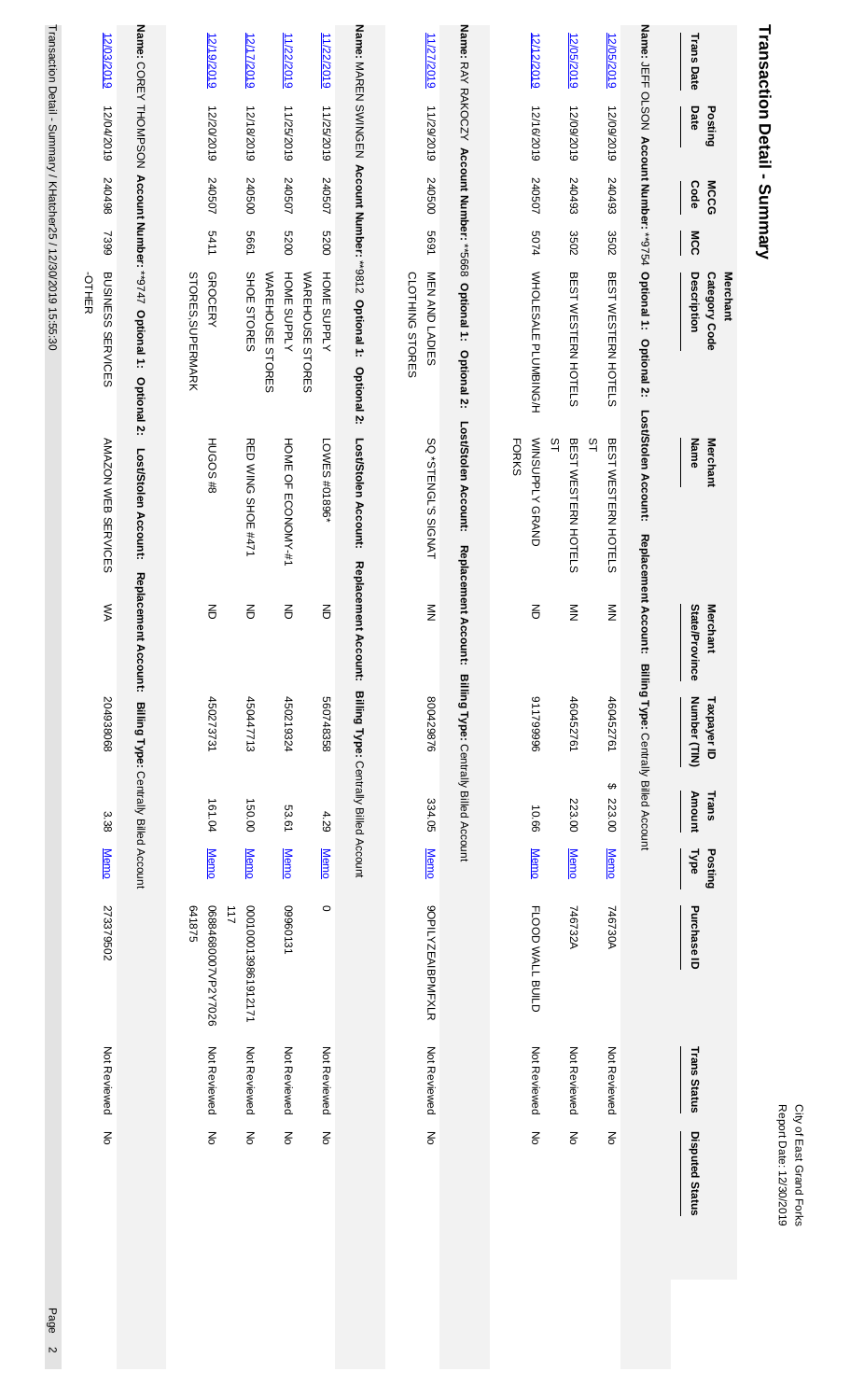|                                                     |                     | 641875                   |                 |                 |                                                 |                                   |                                     | <b>STORES, SUPERMARK</b>                                           |             |                            |                 |                              |
|-----------------------------------------------------|---------------------|--------------------------|-----------------|-----------------|-------------------------------------------------|-----------------------------------|-------------------------------------|--------------------------------------------------------------------|-------------|----------------------------|-----------------|------------------------------|
| $\overline{6}$                                      | Not Reviewed        | 06884680007VP2Y7026      | <b>Memo</b>     | 161.04          | 450273731                                       | $\overline{5}$                    | <b>HUGOS#8</b>                      | <b>GROCERY</b>                                                     | 5411        | 240507                     | 12/20/2019      | 12/19/2019                   |
|                                                     |                     | $\overline{2}$           |                 |                 |                                                 |                                   |                                     |                                                                    |             |                            |                 |                              |
| ξ                                                   | Not Reviewed        | 000100139861912171       | <b>Memo</b>     | 150.00          | 450447713                                       | 증                                 | RED WING SHOE #471                  | SHOE STORES<br>WAREHOUSE STORES                                    | 5661        | 240500                     | 12/18/2019      | 12/17/2019                   |
| $\overline{5}$                                      | Not Reviewed        | 09960131                 | <b>Memo</b>     | 53.61           | 450219324                                       | $\overline{5}$                    | HOME OF ECONOMY-#1                  | HOME SUPPLY                                                        | 0079        | 240507                     | 11/25/2019      | 11/22/2019                   |
| $\overline{5}$                                      | Not Reviewed        | $\circ$                  | <b>Memo</b>     | 4.29            | 560748358                                       | $\epsilon$                        | LOWES #01896*                       | HOME SUPPLY<br>WAREHOUSE STORES                                    | 0029        | 240507                     | 11/25/2019      | 11/22/2019                   |
|                                                     |                     |                          |                 |                 |                                                 |                                   |                                     |                                                                    |             |                            |                 |                              |
|                                                     |                     |                          |                 |                 | Billing Type: Centrally Billed Account          | Replacement Account:              | Lost/Stolen Account:                | Name: MAREN SWINGEN Account Number: **9812 Optional 1: Optional 2: |             |                            |                 |                              |
| $\overline{5}$                                      | Not Reviewed        | <b>9OPILYZEAIBPMFXLR</b> | <b>Memo</b>     | 334.05          | 800429876                                       | $\frac{8}{2}$                     | SQ *STENGL'S SIGNAT                 | MEN AND LADIES<br><b>CLOTHING STORES</b>                           | 1699        | 240500                     | 11/29/2019      | 11/27/2019                   |
|                                                     |                     |                          |                 |                 | Account: Billing Type: Centrally Billed Account |                                   | Lost/Stolen Account:<br>Replacement | Name: RAY RAKOCZY Account Number: **5668 Optional 1: Optional 2:   |             |                            |                 |                              |
|                                                     |                     |                          |                 |                 |                                                 |                                   | <b>FORKS</b>                        |                                                                    |             |                            |                 |                              |
| $\overline{5}$                                      | Not Reviewed        | FLOOD WALL BUILD         | <b>Memo</b>     | 99'01           | 911799996                                       | $\overline{5}$                    | <b>NINSUPPLY GRAND</b><br>31        | WHOLE SALE PLUMBING/H                                              | <b>5074</b> | 240507                     | 12/16/2019      | 12/12/2019                   |
| $\overline{6}$                                      | Not Reviewed        | 746732A                  | <b>Memo</b>     | 223.00          | 460452761                                       | $\frac{8}{2}$                     | BE ST WESTERN HOTELS                | BEST WESTERN HOTELS                                                | 3502        | 240493                     | 12/09/2019      | 12/05/2019                   |
| š                                                   | Not Reviewed        | 746730A                  | <b>Memo</b>     | ↮<br>223.00     | 460452761                                       | $\frac{8}{2}$                     | <b>ST</b><br>BEST WESTERN HOTELS    | BEST WESTERN HOTELS                                                | 3502        | 240493                     | 12/09/2019      | 12/05/2019                   |
|                                                     |                     |                          |                 |                 | Billing Type: Centrally Billed Account          | Replacement Account:              | Lost/Stolen Account:                | Name: JEFF OLSON Account Number: **9754 Optional 1: Optional 2:    |             |                            |                 |                              |
| <b>Disputed Status</b>                              | <b>Trans Status</b> | Purchase ID              | Posting<br>Type | Amount<br>Trans | Number (TIN)<br>Taxpayer ID                     | State/Province<br><b>Merchant</b> | Name<br><b>Merchant</b>             | Description<br><b>Category Code</b><br>Merchant                    | MCC         | <b>Code</b><br><b>MCCG</b> | Date<br>Posting | <b>Trans Date</b>            |
| Report Date: 12/30/2019<br>City of East Grand Horks |                     |                          |                 |                 |                                                 |                                   |                                     |                                                                    |             |                            |                 | Transaction Detail - Summary |

Transaction Detail - Summary / KHatcher25 / 12/30/2019 15:55:30 Transaction Detail - Summary / KHatcher25 / 12/30/2019 15:55:30 Page 2

**Name:** 

[12/03/2019](https://www.access.usbank.com/cpsApp1/AxolComReportServlet?REPORT_ID=TransactionDetailReport1577742924380_9150_3851474304337449&IBIF_ex=AOLNTD2R&IBIC_server=EDUCCRP1&IBIWF_msgviewer=off&APP_PARM=BEACON&PSTDT=20191204&ISN=1&MCCG=240498&MCC_GRP_NM=OFFICE%20SERVICES&TAX_ID=204938068&MCC_DSC=BUSINESS%20SERVICES%20-OTHER&DSP=No&MAXWIDTH=N&CLIENTID=16900368&ACCTID=216287000057)

12/04/2019

240498

7399

-OTHER

BUSINESS SERVICES AMAZON WEB SERVICES

AMAZON WEB SERVICES

WA

204938068

204938068

د،<br>38

[Memo](https://www.access.usbank.com/cpsApp1/AxolComReportServlet?REPORT_ID=TransactionDetailReport1577742924380_9150_3851474304337449&IBIF_ex=AOLNTD4R&IBIC_server=EDUCCRP1&IBIWF_msgviewer=off&APP_PARM=BEACON&PDT=20191204&TRAMT=3.38&TAX_ID=204938068&MNM=AMAZON%20WEB%20SERVICES&MST=WA&TDT=20191203&PRCID=273379502&DSP=No&PTANBR=4246044555755549&TRST=Not%20Reviewed&MAXWIDTH=N&ACCTID=216287000057)

273379502

273379502

Not Reviewed Not Reviewed No COREY THOMPSON

 **Account Number:** 

\*\*9747

 **Optional 1: Optional 2: Lost/Stolen Account: Replacement Account: Billing Type:** 

Centrally Billed Account

Page 2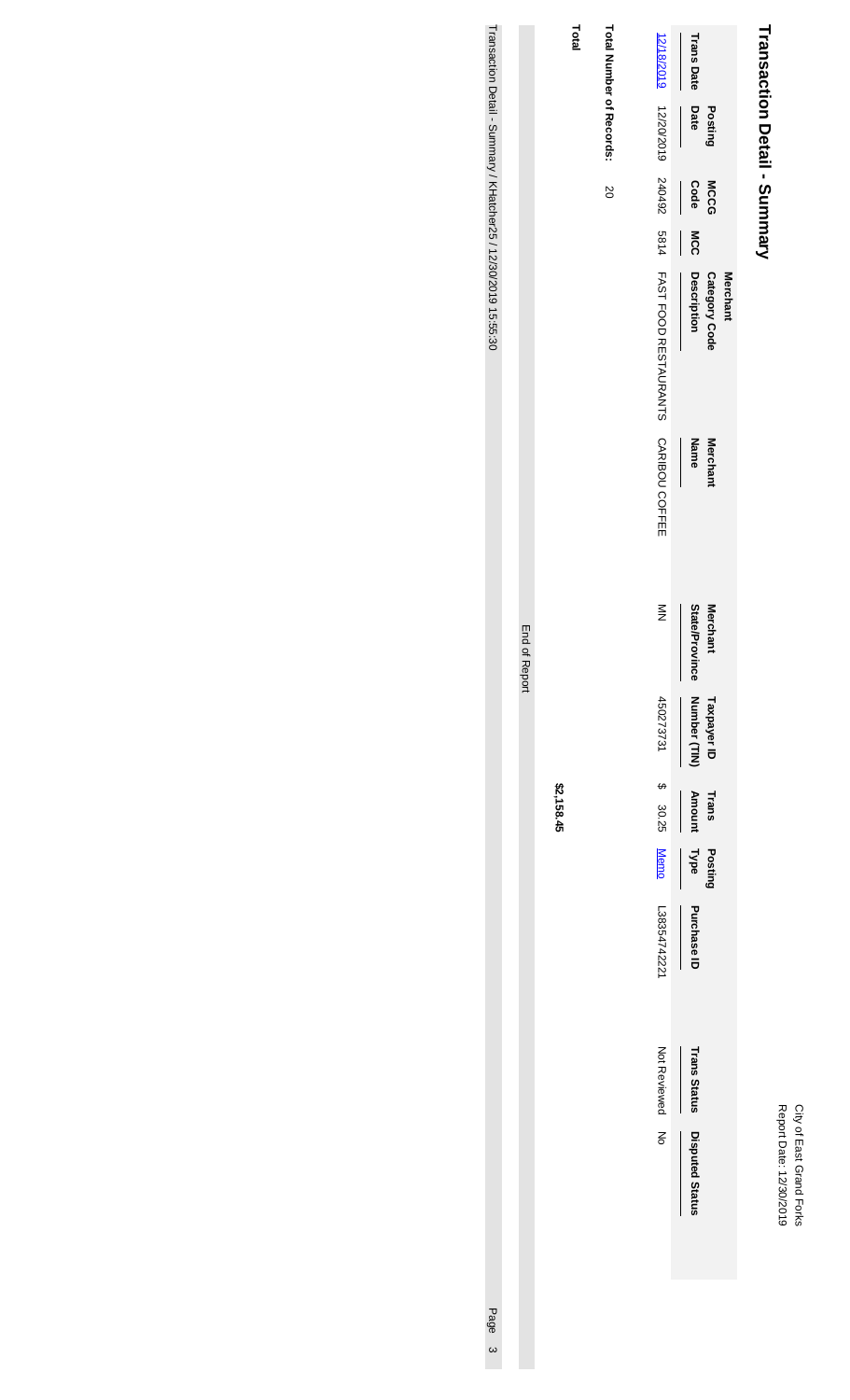## City of East Grand Forks<br>Report Date: 12/30/2019 Report Date: 12/30/2019 City of East Grand Forks

# Transaction Detail - Summary **Transaction Detail - Summary**

|                             |                                                                                  | <b>Trans Date</b>      |                           |          |
|-----------------------------|----------------------------------------------------------------------------------|------------------------|---------------------------|----------|
| Total Number of Records: 20 |                                                                                  | Date                   | Postinç                   |          |
|                             |                                                                                  |                        | <b>MCCG</b>               |          |
|                             |                                                                                  | Code MCC               |                           |          |
|                             | 12/18/2010 12/2020 24/20 24/20 2011 TOOD RESTAL AT SA 24/20 2010 12/2010 12/2010 | Description            | Category Code             | Merchant |
|                             |                                                                                  | Name                   | <b>Merchan</b>            |          |
|                             | $\stackrel{\textstyle\leq}{\textstyle\geq}$                                      | State/Province         | <b>Merchant</b>           |          |
|                             | 45027373731 \$ 30.25                                                             | Number (TIN)           | Taxpayer ID Trans Posting |          |
|                             |                                                                                  | <b>Amount</b>          |                           |          |
|                             |                                                                                  |                        |                           |          |
|                             |                                                                                  |                        |                           |          |
|                             | Memo L3835474222                                                                 | Type Purchase ID       |                           |          |
|                             | Not Reviewed<br>No                                                               | <b>Trans Status</b>    |                           |          |
|                             |                                                                                  | <b>Disputed Status</b> |                           |          |
|                             |                                                                                  |                        |                           |          |

**Total**

**\$2,158.45**

End of Report

End of Report

Transaction Detail - Summary / KHatcher25 / 12/30/2019 15:55:30 Transaction Detail - Summary / KHatcher25 / 12/30/2019 15:55:30 Page 3

Page 3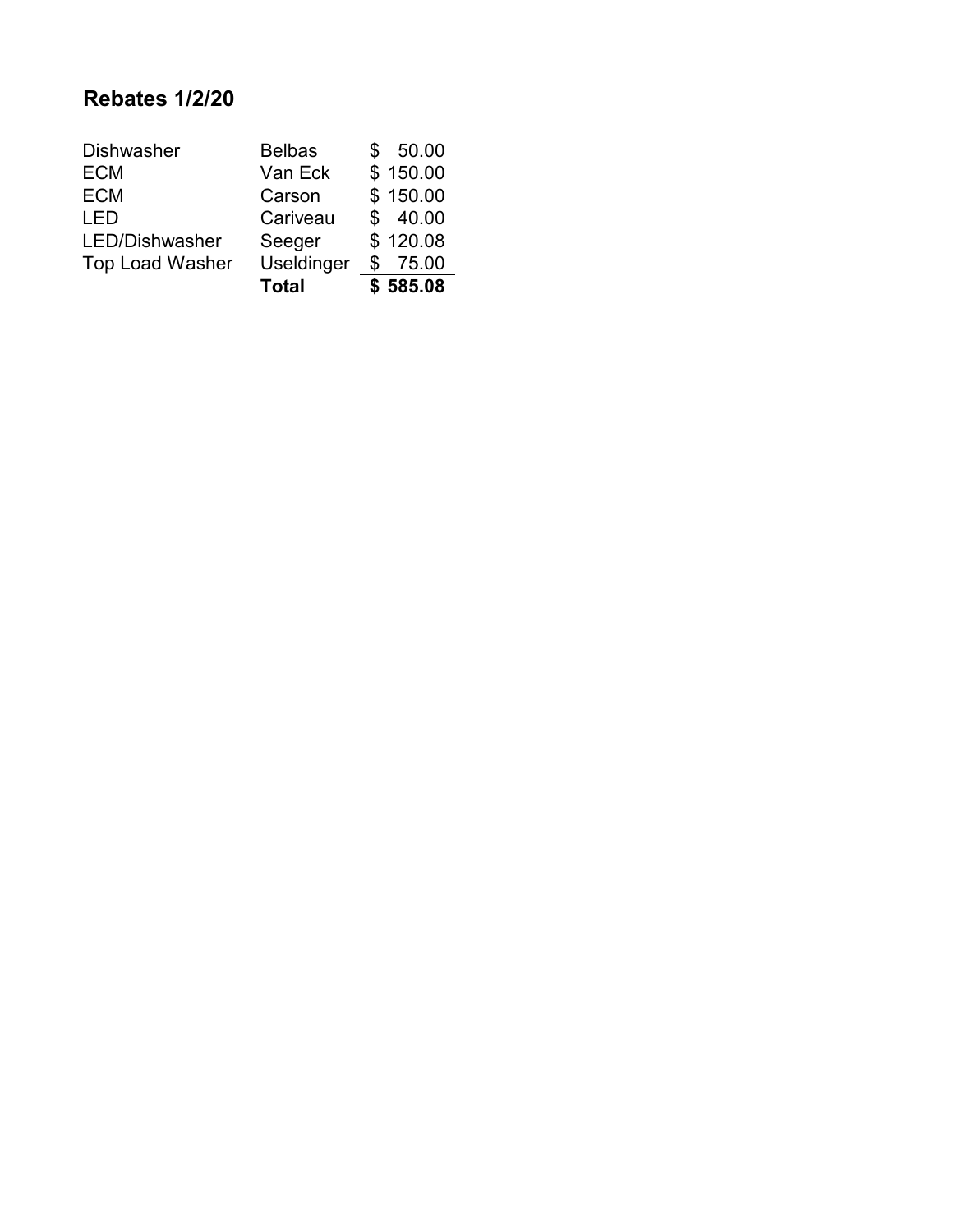## **Rebates 1/2/20**

| <b>Dishwasher</b>      | <b>Belbas</b> | 50.00       |
|------------------------|---------------|-------------|
| <b>ECM</b>             | Van Eck       | \$150.00    |
| <b>ECM</b>             | Carson        | \$150.00    |
| LED                    | Cariveau      | \$40.00     |
| LED/Dishwasher         | Seeger        | \$120.08    |
| <b>Top Load Washer</b> | Useldinger    | \$<br>75.00 |
|                        | <b>Total</b>  | \$585.08    |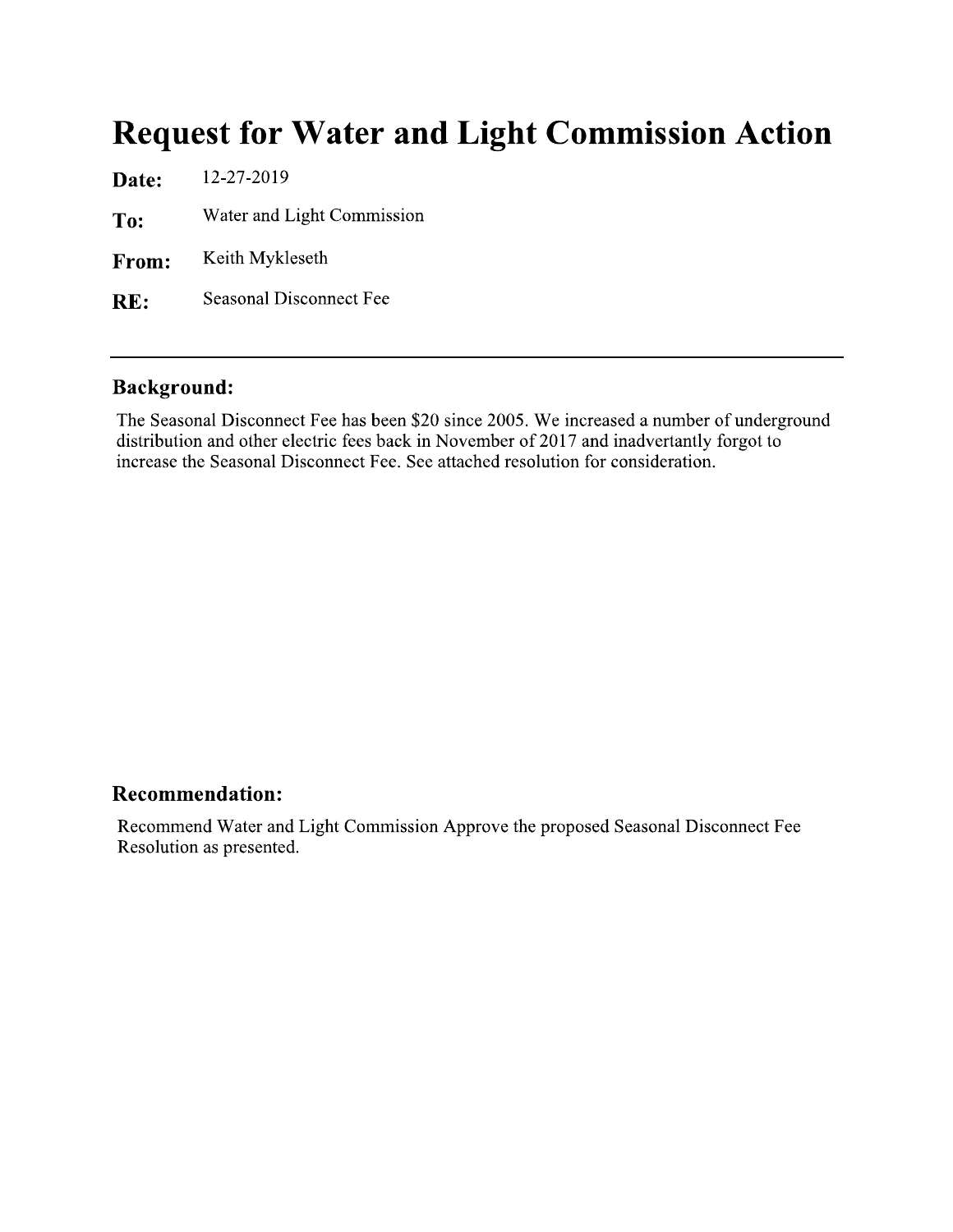## **Request for Water and Light Commission Action**

12-27-2019 Date: Water and Light Commission To: Keith Mykleseth From: **Seasonal Disconnect Fee** RE:

### **Background:**

The Seasonal Disconnect Fee has been \$20 since 2005. We increased a number of underground distribution and other electric fees back in November of 2017 and inadvertantly forgot to increase the Seasonal Disconnect Fee. See attached resolution for consideration.

#### **Recommendation:**

Recommend Water and Light Commission Approve the proposed Seasonal Disconnect Fee Resolution as presented.